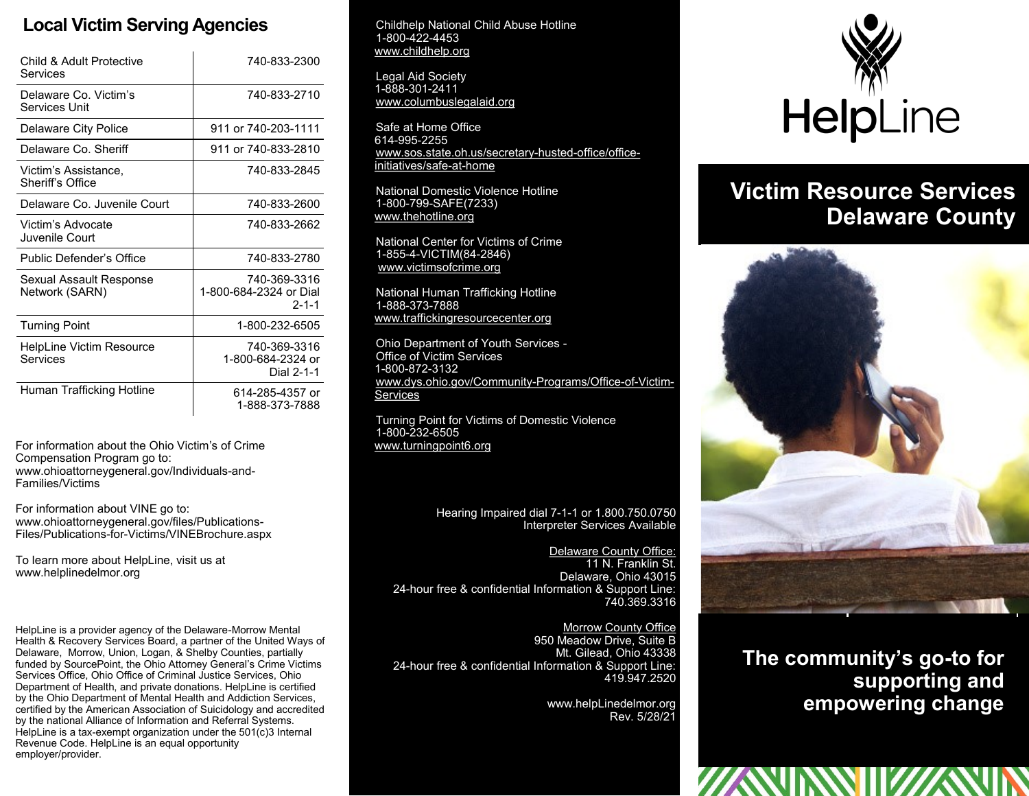## **Local Victim Serving Agencies**

| Child & Adult Protective<br>Services        | 740-833-2300                                          |
|---------------------------------------------|-------------------------------------------------------|
| Delaware Co. Victim's<br>Services Unit      | 740-833-2710                                          |
| Delaware City Police                        | 911 or 740-203-1111                                   |
| Delaware Co. Sheriff                        | 911 or 740-833-2810                                   |
| Victim's Assistance,<br>Sheriff's Office    | 740-833-2845                                          |
| Delaware Co. Juvenile Court                 | 740-833-2600                                          |
| Victim's Advocate<br>Juvenile Court         | 740-833-2662                                          |
| Public Defender's Office                    | 740-833-2780                                          |
| Sexual Assault Response<br>Network (SARN)   | 740-369-3316<br>1-800-684-2324 or Dial<br>$2 - 1 - 1$ |
| <b>Turning Point</b>                        | 1-800-232-6505                                        |
| <b>HelpLine Victim Resource</b><br>Services | 740-369-3316<br>1-800-684-2324 or<br>Dial 2-1-1       |
| Human Trafficking Hotline                   | 614-285-4357 or<br>1-888-373-7888                     |

For information about the Ohio Victim's of Crime Compensation Program go to: www.ohioattorneygeneral.gov/Individuals-and-Families/Victims

For information about VINE go to: www.ohioattorneygeneral.gov/files/Publications-Files/Publications-for-Victims/VINEBrochure.aspx

To learn more about HelpLine, visit us at www.helplinedelmor.org

HelpLine is a provider agency of the Delaware-Morrow Mental Health & Recovery Services Board, a partner of the United Ways of Delaware, Morrow, Union, Logan, & Shelby Counties, partially funded by SourcePoint, the Ohio Attorney General's Crime Victims Services Office, Ohio Office of Criminal Justice Services, Ohio Department of Health, and private donations. HelpLine is certified by the Ohio Department of Mental Health and Addiction Services, certified by the American Association of Suicidology and accredited by the national Alliance of Information and Referral Systems. HelpLine is a tax-exempt organization under the  $501(c)3$  Internal Revenue Code. HelpLine is an equal opportunity employer/provider.

Childhelp National Child Abuse Hotline 1-800-422-4453 www.childhelp.org

Legal Aid Society 1-888-301-2411 www.columbuslegalaid.org

Safe at Home Office 614-995-2255 www.sos.state.oh.us/secretary-husted-office/officeinitiatives/safe-at-home

National Domestic Violence Hotline 1-800-799-SAFE(7233) www.thehotline.org

National Center for Victims of Crime 1-855-4-VICTIM(84-2846) www.victimsofcrime.org

National Human Trafficking Hotline 1-888-373-7888 www.traffickingresourcecenter.org

Ohio Department of Youth Services - Office of Victim Services 1-800-872-3132 www.dys.ohio.gov/Community-Programs/Office-of-Victim-**Services** 

Turning Point for Victims of Domestic Violence 1-800-232-6505 www.turningpoint6.org

> Hearing Impaired dial 7-1-1 or 1.800.750.0750 Interpreter Services Available

Delaware County Office: 11 N. Franklin St. Delaware, Ohio 43015 24-hour free & confidential Information & Support Line: 740.369.3316

Morrow County Office 950 Meadow Drive, Suite B Mt. Gilead, Ohio 43338 24-hour free & confidential Information & Support Line: 419.947.2520

> www.helpLinedelmor.org Rev. 5/28/21



## **Victim Resource Services Delaware County**



**The community's go-to for supporting and empowering change**